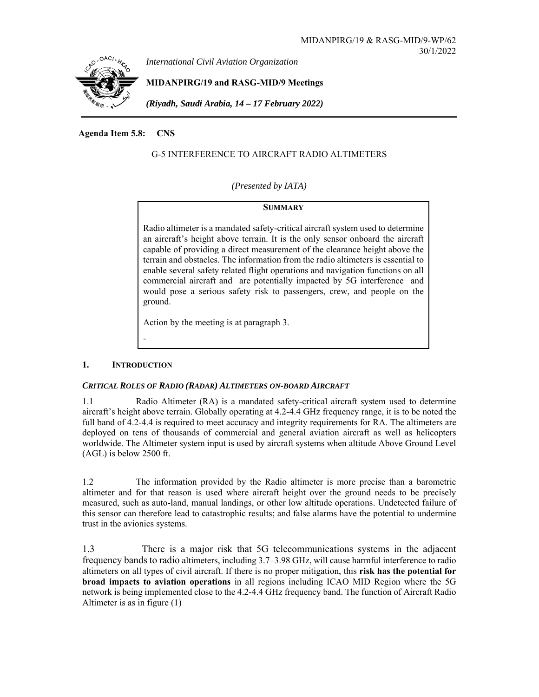

## **Agenda Item 5.8: CNS**

# G-5 INTERFERENCE TO AIRCRAFT RADIO ALTIMETERS

*(Presented by IATA)* 

## **SUMMARY**

Radio altimeter is a mandated safety-critical aircraft system used to determine an aircraft's height above terrain. It is the only sensor onboard the aircraft capable of providing a direct measurement of the clearance height above the terrain and obstacles. The information from the radio altimeters is essential to enable several safety related flight operations and navigation functions on all commercial aircraft and are potentially impacted by 5G interference and would pose a serious safety risk to passengers, crew, and people on the ground.

Action by the meeting is at paragraph 3.

## **1. INTRODUCTION**

-

## *CRITICAL ROLES OF RADIO (RADAR) ALTIMETERS ON-BOARD AIRCRAFT*

1.1 Radio Altimeter (RA) is a mandated safety-critical aircraft system used to determine aircraft's height above terrain. Globally operating at 4.2-4.4 GHz frequency range, it is to be noted the full band of 4.2-4.4 is required to meet accuracy and integrity requirements for RA. The altimeters are deployed on tens of thousands of commercial and general aviation aircraft as well as helicopters worldwide. The Altimeter system input is used by aircraft systems when altitude Above Ground Level (AGL) is below 2500 ft.

1.2 The information provided by the Radio altimeter is more precise than a barometric altimeter and for that reason is used where aircraft height over the ground needs to be precisely measured, such as auto-land, manual landings, or other low altitude operations. Undetected failure of this sensor can therefore lead to catastrophic results; and false alarms have the potential to undermine trust in the avionics systems.

1.3 There is a major risk that 5G telecommunications systems in the adjacent frequency bands to radio altimeters, including 3.7–3.98 GHz, will cause harmful interference to radio altimeters on all types of civil aircraft. If there is no proper mitigation, this **risk has the potential for broad impacts to aviation operations** in all regions including ICAO MID Region where the 5G network is being implemented close to the 4.2-4.4 GHz frequency band. The function of Aircraft Radio Altimeter is as in figure (1)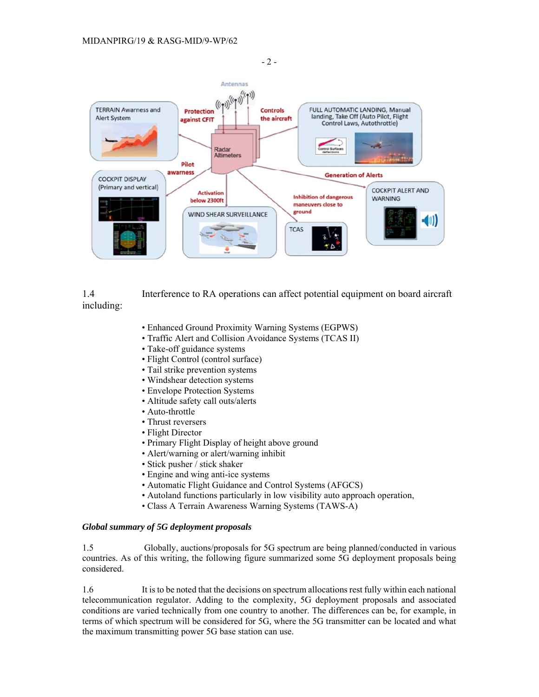

1.4 Interference to RA operations can affect potential equipment on board aircraft including:

- Enhanced Ground Proximity Warning Systems (EGPWS)
- Traffic Alert and Collision Avoidance Systems (TCAS II)
- Take-off guidance systems
- Flight Control (control surface)
- Tail strike prevention systems
- Windshear detection systems
- Envelope Protection Systems
- Altitude safety call outs/alerts
- Auto-throttle
- Thrust reversers
- Flight Director
- Primary Flight Display of height above ground
- Alert/warning or alert/warning inhibit
- Stick pusher / stick shaker
- Engine and wing anti-ice systems
- Automatic Flight Guidance and Control Systems (AFGCS)
- Autoland functions particularly in low visibility auto approach operation,
- Class A Terrain Awareness Warning Systems (TAWS-A)

#### *Global summary of 5G deployment proposals*

1.5 Globally, auctions/proposals for 5G spectrum are being planned/conducted in various countries. As of this writing, the following figure summarized some 5G deployment proposals being considered.

1.6 It is to be noted that the decisions on spectrum allocations rest fully within each national telecommunication regulator. Adding to the complexity, 5G deployment proposals and associated conditions are varied technically from one country to another. The differences can be, for example, in terms of which spectrum will be considered for 5G, where the 5G transmitter can be located and what the maximum transmitting power 5G base station can use.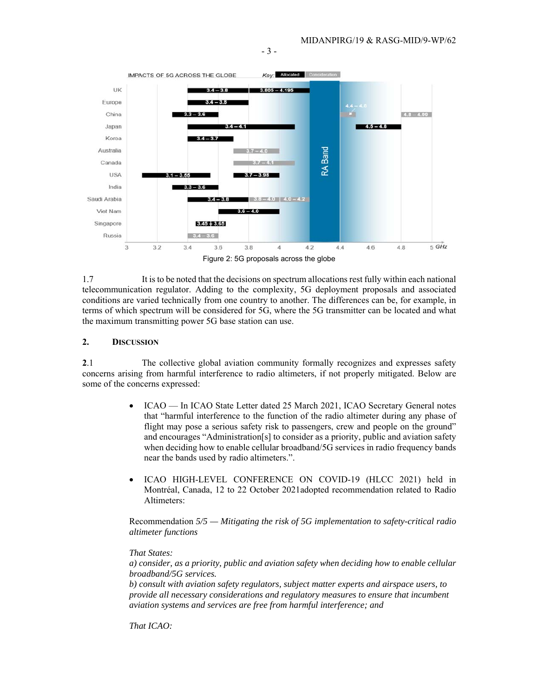

1.7 It is to be noted that the decisions on spectrum allocations rest fully within each national telecommunication regulator. Adding to the complexity, 5G deployment proposals and associated conditions are varied technically from one country to another. The differences can be, for example, in terms of which spectrum will be considered for 5G, where the 5G transmitter can be located and what the maximum transmitting power 5G base station can use.

#### **2. DISCUSSION**

**2**.1 The collective global aviation community formally recognizes and expresses safety concerns arising from harmful interference to radio altimeters, if not properly mitigated. Below are some of the concerns expressed:

- ICAO In ICAO State Letter dated 25 March 2021, ICAO Secretary General notes that "harmful interference to the function of the radio altimeter during any phase of flight may pose a serious safety risk to passengers, crew and people on the ground" and encourages "Administration[s] to consider as a priority, public and aviation safety when deciding how to enable cellular broadband/5G services in radio frequency bands near the bands used by radio altimeters.".
- ICAO HIGH-LEVEL CONFERENCE ON COVID-19 (HLCC 2021) held in Montréal, Canada, 12 to 22 October 2021adopted recommendation related to Radio Altimeters:

Recommendation *5/5 — Mitigating the risk of 5G implementation to safety-critical radio altimeter functions* 

#### *That States:*

*a) consider, as a priority, public and aviation safety when deciding how to enable cellular broadband/5G services.* 

*b) consult with aviation safety regulators, subject matter experts and airspace users, to provide all necessary considerations and regulatory measures to ensure that incumbent aviation systems and services are free from harmful interference; and* 

*That ICAO:* 

- 3 -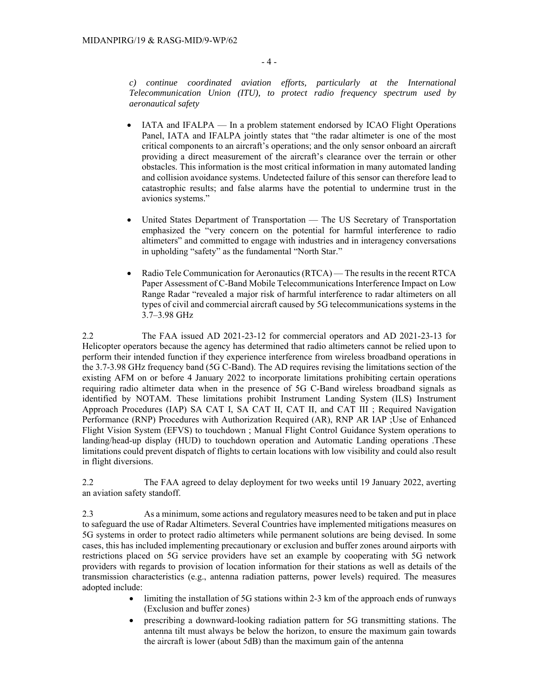*c) continue coordinated aviation efforts, particularly at the International Telecommunication Union (ITU), to protect radio frequency spectrum used by aeronautical safety* 

- IATA and IFALPA In a problem statement endorsed by ICAO Flight Operations Panel, IATA and IFALPA jointly states that "the radar altimeter is one of the most critical components to an aircraft's operations; and the only sensor onboard an aircraft providing a direct measurement of the aircraft's clearance over the terrain or other obstacles. This information is the most critical information in many automated landing and collision avoidance systems. Undetected failure of this sensor can therefore lead to catastrophic results; and false alarms have the potential to undermine trust in the avionics systems."
- United States Department of Transportation The US Secretary of Transportation emphasized the "very concern on the potential for harmful interference to radio altimeters" and committed to engage with industries and in interagency conversations in upholding "safety" as the fundamental "North Star."
- Radio Tele Communication for Aeronautics (RTCA) The results in the recent RTCA Paper Assessment of C-Band Mobile Telecommunications Interference Impact on Low Range Radar "revealed a major risk of harmful interference to radar altimeters on all types of civil and commercial aircraft caused by 5G telecommunications systems in the 3.7–3.98 GHz

2.2 The FAA issued AD 2021-23-12 for commercial operators and AD 2021-23-13 for Helicopter operators because the agency has determined that radio altimeters cannot be relied upon to perform their intended function if they experience interference from wireless broadband operations in the 3.7-3.98 GHz frequency band (5G C-Band). The AD requires revising the limitations section of the existing AFM on or before 4 January 2022 to incorporate limitations prohibiting certain operations requiring radio altimeter data when in the presence of 5G C-Band wireless broadband signals as identified by NOTAM. These limitations prohibit Instrument Landing System (ILS) Instrument Approach Procedures (IAP) SA CAT I, SA CAT II, CAT II, and CAT III ; Required Navigation Performance (RNP) Procedures with Authorization Required (AR), RNP AR IAP ;Use of Enhanced Flight Vision System (EFVS) to touchdown ; Manual Flight Control Guidance System operations to landing/head-up display (HUD) to touchdown operation and Automatic Landing operations .These limitations could prevent dispatch of flights to certain locations with low visibility and could also result in flight diversions.

2.2 The FAA agreed to delay deployment for two weeks until 19 January 2022, averting an aviation safety standoff.

2.3 As a minimum, some actions and regulatory measures need to be taken and put in place to safeguard the use of Radar Altimeters. Several Countries have implemented mitigations measures on 5G systems in order to protect radio altimeters while permanent solutions are being devised. In some cases, this has included implementing precautionary or exclusion and buffer zones around airports with restrictions placed on 5G service providers have set an example by cooperating with 5G network providers with regards to provision of location information for their stations as well as details of the transmission characteristics (e.g., antenna radiation patterns, power levels) required. The measures adopted include:

- limiting the installation of 5G stations within 2-3 km of the approach ends of runways (Exclusion and buffer zones)
- prescribing a downward-looking radiation pattern for 5G transmitting stations. The antenna tilt must always be below the horizon, to ensure the maximum gain towards the aircraft is lower (about 5dB) than the maximum gain of the antenna